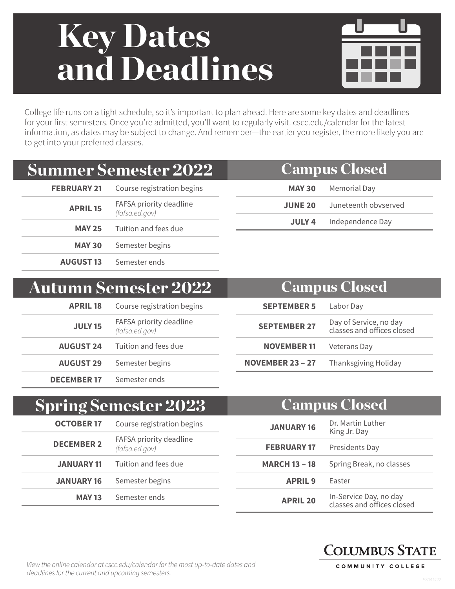# Key Dates and Deadlines



College life runs on a tight schedule, so it's important to plan ahead. Here are some key dates and deadlines for your first semesters. Once you're admitted, you'll want to regularly visit. cscc.edu/calendar for the latest information, as dates may be subject to change. And remember—the earlier you register, the more likely you are to get into your preferred classes.

## Summer Semester 2022

| <b>FEBRUARY 21</b> | Course registration begins                |  |
|--------------------|-------------------------------------------|--|
| <b>APRIL 15</b>    | FAFSA priority deadline<br>(fafsa.ed.gov) |  |
| <b>MAY 25</b>      | Tuition and fees due                      |  |
| <b>MAY 30</b>      | Semester begins                           |  |
| <b>AUGUST 13</b>   | Semester ends                             |  |

### **MAY 30** Memorial Day Campus Closed

|                | <b>MAI JU</b> MCHIVITAL DAY |
|----------------|-----------------------------|
| <b>JUNE 20</b> | Juneteenth obvserved        |
| JULY 4         | Independence Day            |

### Autumn Semester 2022

| <b>APRIL 18</b>    | Course registration begins                |  |
|--------------------|-------------------------------------------|--|
| <b>JULY 15</b>     | FAFSA priority deadline<br>(fafsa.ed.gov) |  |
|                    | <b>AUGUST 24</b> Tuition and fees due     |  |
| <b>AUGUST 29</b>   | Semester begins                           |  |
| <b>DECEMBER 17</b> | Semester ends                             |  |

| <b>Campus Closed</b>    |                                                      |  |
|-------------------------|------------------------------------------------------|--|
| <b>SEPTEMBER 5</b>      | Labor Day                                            |  |
| <b>SEPTEMBER 27</b>     | Day of Service, no day<br>classes and offices closed |  |
| <b>NOVEMBER 11</b>      | <b>Veterans Day</b>                                  |  |
| <b>NOVEMBER 23 - 27</b> | <b>Thanksgiving Holiday</b>                          |  |

#### **OCTOBER 17** Course registration begins **DECEMBER 2** FAFSA priority deadline *(fafsa.ed.gov)* **JANUARY 11** Tuition and fees due **JANUARY 16** Semester begins **MAY 13** Semester ends Spring Semester 2023 **JANUARY 16** Dr. Martin Luther King Jr. Day **FEBRUARY 17** Presidents Day **MARCH 13 – 18** Spring Break, no classes **APRIL 9** Easter **APRIL 20** In-Service Day, no day classes and offices closed Campus Closed